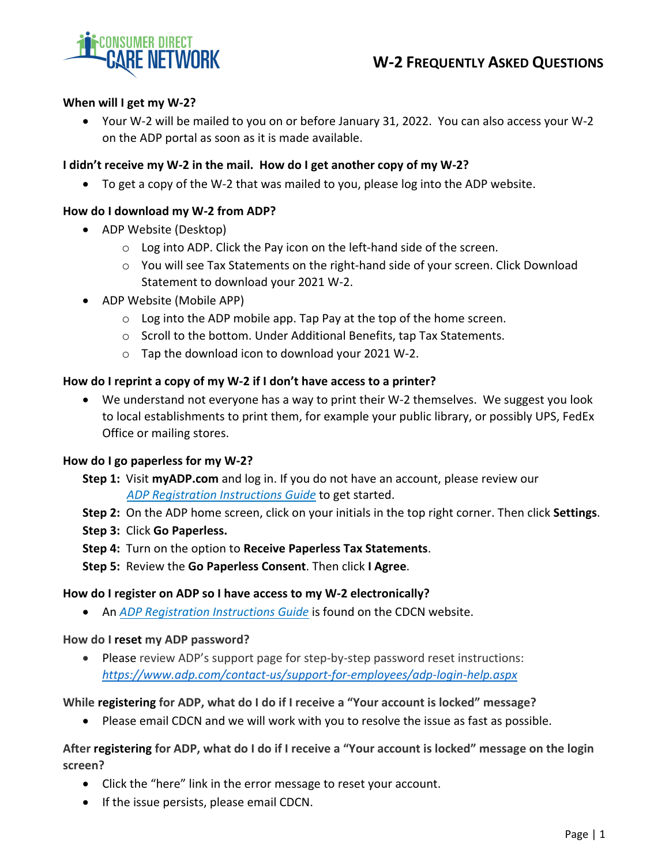

# **When will I get my W‐2?**

 Your W‐2 will be mailed to you on or before January 31, 2022. You can also access your W‐2 on the ADP portal as soon as it is made available.

# I didn't receive my W-2 in the mail. How do I get another copy of my W-2?

To get a copy of the W‐2 that was mailed to you, please log into the ADP website.

### **How do I download my W‐2 from ADP?**

- ADP Website (Desktop)
	- o Log into ADP. Click the Pay icon on the left‐hand side of the screen.
	- o You will see Tax Statements on the right‐hand side of your screen. Click Download Statement to download your 2021 W‐2.
- ADP Website (Mobile APP)
	- o Log into the ADP mobile app. Tap Pay at the top of the home screen.
	- o Scroll to the bottom. Under Additional Benefits, tap Tax Statements.
	- o Tap the download icon to download your 2021 W‐2.

### **How do I reprint a copy of my W‐2 if I don't have access to a printer?**

■ We understand not everyone has a way to print their W-2 themselves. We suggest you look to local establishments to print them, for example your public library, or possibly UPS, FedEx Office or mailing stores.

### **How do I go paperless for my W‐2?**

- **Step 1:** Visit **myADP.com** and log in. If you do not have an account, please review our *ADP [Registration](https://consumerdirectcare.com/wp-content/uploads/2021/12/ADP-Registration-Instructions.pdf.) Instructions Guide* to get started.
- **Step 2:** On the ADP home screen, click on your initials in the top right corner. Then click **Settings**.
- **Step 3:** Click **Go Paperless.**
- **Step 4:** Turn on the option to **Receive Paperless Tax Statements**.
- **Step 5:** Review the **Go Paperless Consent**. Then click **I Agree**.

### **How do I register on ADP so I have access to my W‐2 electronically?**

An *ADP [Registration](https://consumerdirectcare.com/wp-content/uploads/2021/12/ADP-Registration-Instructions.pdf.) Instructions Guide* is found on the CDCN website.

### **How do I reset my ADP password?**

● Please review ADP's support page for step-by-step password reset instructions: *[https://www.adp.com/contact](https://www.adp.com/contact-us/support-for-employees/adp-login-help.aspx)‐us/support‐for‐employees/adp‐login‐help.aspx*

### **While registering for ADP, what do I do if I receive a "Your account is locked" message?**

Please email CDCN and we will work with you to resolve the issue as fast as possible.

# After registering for ADP, what do I do if I receive a "Your account is locked" message on the login **screen?**

- Click the "here" link in the error message to reset your account.
- If the issue persists, please email CDCN.